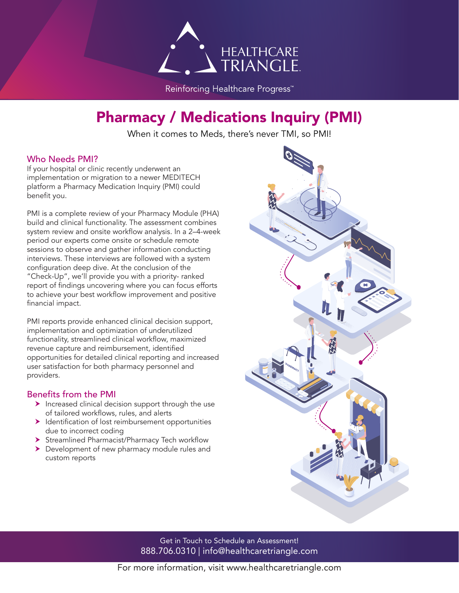

Reinforcing Healthcare Progress<sup>™</sup>

# Pharmacy / Medications Inquiry (PMI)

When it comes to Meds, there's never TMI, so PMI!

### Who Needs PMI?

If your hospital or clinic recently underwent an implementation or migration to a newer MEDITECH platform a Pharmacy Medication Inquiry (PMI) could benefit you.

PMI is a complete review of your Pharmacy Module (PHA) build and clinical functionality. The assessment combines system review and onsite workflow analysis. In a 2–4-week period our experts come onsite or schedule remote sessions to observe and gather information conducting interviews. These interviews are followed with a system configuration deep dive. At the conclusion of the "Check-Up", we'll provide you with a priority- ranked report of findings uncovering where you can focus efforts to achieve your best workflow improvement and positive financial impact.

PMI reports provide enhanced clinical decision support, implementation and optimization of underutilized functionality, streamlined clinical workflow, maximized revenue capture and reimbursement, identified opportunities for detailed clinical reporting and increased user satisfaction for both pharmacy personnel and providers.

### Benefits from the PMI

- $\blacktriangleright$  Increased clinical decision support through the use of tailored workflows, rules, and alerts
- $\blacktriangleright$  Identification of lost reimbursement opportunities due to incorrect coding
- > Streamlined Pharmacist/Pharmacy Tech workflow
- Development of new pharmacy module rules and custom reports



Get in Touch to Schedule an Assessment! 888.706.0310 | info@healthcaretriangle.com